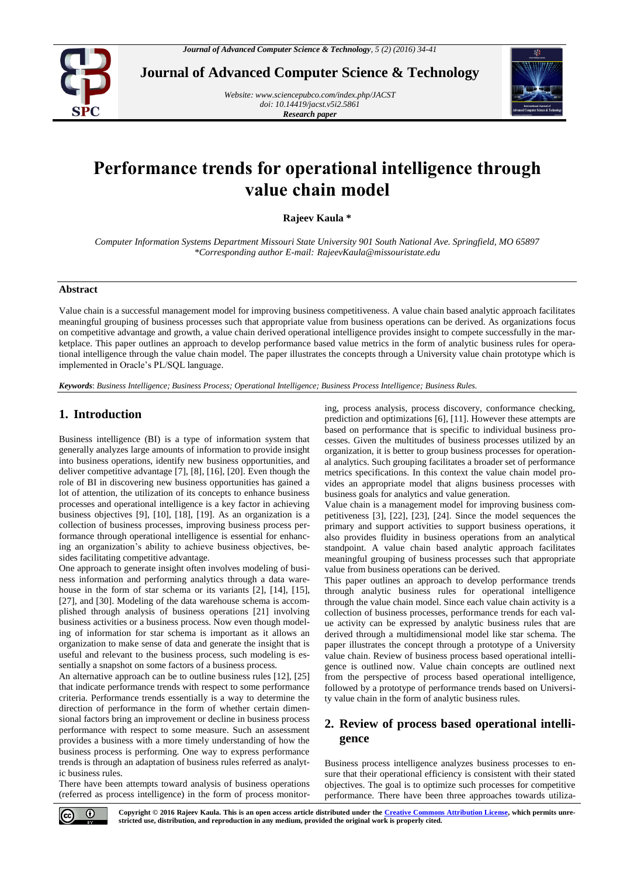

**Journal of Advanced Computer Science & Technology**

*Website[: www.sciencepubco.com/index.php/JACST](http://www.sciencepubco.com/index.php/JACST) doi: 10.14419/jacst.v5i2.5861 Research paper*



# **Performance trends for operational intelligence through value chain model**

**Rajeev Kaula \***

*Computer Information Systems Department Missouri State University 901 South National Ave. Springfield, MO 65897 \*Corresponding author E-mail: RajeevKaula@missouristate.edu*

## **Abstract**

Value chain is a successful management model for improving business competitiveness. A value chain based analytic approach facilitates meaningful grouping of business processes such that appropriate value from business operations can be derived. As organizations focus on competitive advantage and growth, a value chain derived operational intelligence provides insight to compete successfully in the marketplace. This paper outlines an approach to develop performance based value metrics in the form of analytic business rules for operational intelligence through the value chain model. The paper illustrates the concepts through a University value chain prototype which is implemented in Oracle's PL/SQL language.

*Keywords*: *Business Intelligence; Business Process; Operational Intelligence; Business Process Intelligence; Business Rules.*

## **1. Introduction**

Business intelligence (BI) is a type of information system that generally analyzes large amounts of information to provide insight into business operations, identify new business opportunities, and deliver competitive advantage [7], [8], [16], [20]. Even though the role of BI in discovering new business opportunities has gained a lot of attention, the utilization of its concepts to enhance business processes and operational intelligence is a key factor in achieving business objectives [9], [10], [18], [19]. As an organization is a collection of business processes, improving business process performance through operational intelligence is essential for enhancing an organization's ability to achieve business objectives, besides facilitating competitive advantage.

One approach to generate insight often involves modeling of business information and performing analytics through a data warehouse in the form of star schema or its variants [2], [14], [15], [27], and [30]. Modeling of the data warehouse schema is accomplished through analysis of business operations [21] involving business activities or a business process. Now even though modeling of information for star schema is important as it allows an organization to make sense of data and generate the insight that is useful and relevant to the business process, such modeling is essentially a snapshot on some factors of a business process.

An alternative approach can be to outline business rules [12], [25] that indicate performance trends with respect to some performance criteria. Performance trends essentially is a way to determine the direction of performance in the form of whether certain dimensional factors bring an improvement or decline in business process performance with respect to some measure. Such an assessment provides a business with a more timely understanding of how the business process is performing. One way to express performance trends is through an adaptation of business rules referred as analytic business rules.

There have been attempts toward analysis of business operations (referred as process intelligence) in the form of process monitoring, process analysis, process discovery, conformance checking, prediction and optimizations [6], [11]. However these attempts are based on performance that is specific to individual business processes. Given the multitudes of business processes utilized by an organization, it is better to group business processes for operational analytics. Such grouping facilitates a broader set of performance metrics specifications. In this context the value chain model provides an appropriate model that aligns business processes with business goals for analytics and value generation.

Value chain is a management model for improving business competitiveness [3], [22], [23], [24]. Since the model sequences the primary and support activities to support business operations, it also provides fluidity in business operations from an analytical standpoint. A value chain based analytic approach facilitates meaningful grouping of business processes such that appropriate value from business operations can be derived.

This paper outlines an approach to develop performance trends through analytic business rules for operational intelligence through the value chain model. Since each value chain activity is a collection of business processes, performance trends for each value activity can be expressed by analytic business rules that are derived through a multidimensional model like star schema. The paper illustrates the concept through a prototype of a University value chain. Review of business process based operational intelligence is outlined now. Value chain concepts are outlined next from the perspective of process based operational intelligence, followed by a prototype of performance trends based on University value chain in the form of analytic business rules.

# **2. Review of process based operational intelligence**

Business process intelligence analyzes business processes to ensure that their operational efficiency is consistent with their stated objectives. The goal is to optimize such processes for competitive performance. There have been three approaches towards utiliza-



**Copyright © 2016 Rajeev Kaula. This is an open access article distributed under th[e Creative Commons Attribution License,](http://creativecommons.org/licenses/by/3.0/) which permits unrestricted use, distribution, and reproduction in any medium, provided the original work is properly cited.**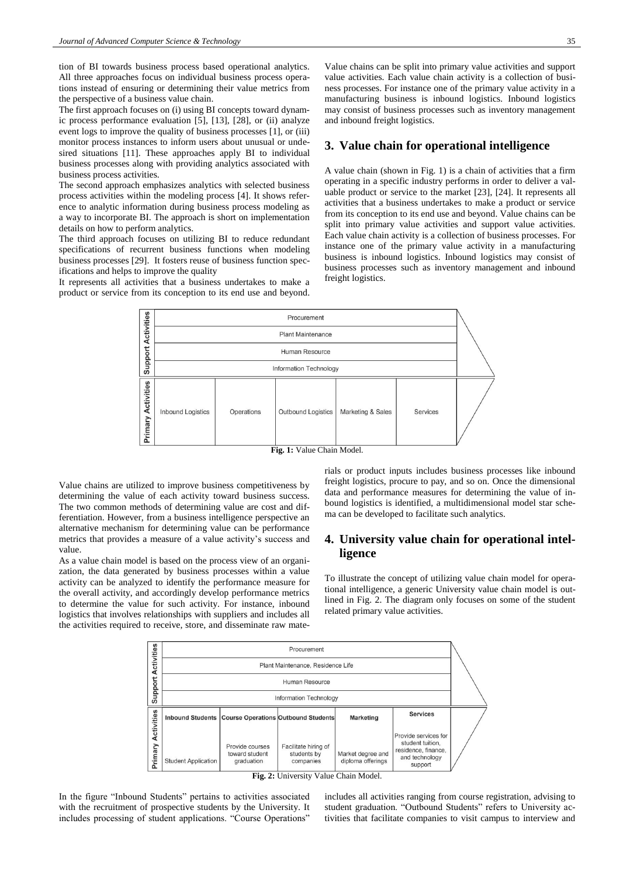tion of BI towards business process based operational analytics. All three approaches focus on individual business process operations instead of ensuring or determining their value metrics from the perspective of a business value chain.

The first approach focuses on (i) using BI concepts toward dynamic process performance evaluation [5], [13], [28], or (ii) analyze event logs to improve the quality of business processes [1], or (iii) monitor process instances to inform users about unusual or undesired situations [11]. These approaches apply BI to individual business processes along with providing analytics associated with business process activities.

The second approach emphasizes analytics with selected business process activities within the modeling process [4]. It shows reference to analytic information during business process modeling as a way to incorporate BI. The approach is short on implementation details on how to perform analytics.

The third approach focuses on utilizing BI to reduce redundant specifications of recurrent business functions when modeling business processes [29]. It fosters reuse of business function specifications and helps to improve the quality

It represents all activities that a business undertakes to make a product or service from its conception to its end use and beyond.

Value chains can be split into primary value activities and support value activities. Each value chain activity is a collection of business processes. For instance one of the primary value activity in a manufacturing business is inbound logistics. Inbound logistics may consist of business processes such as inventory management and inbound freight logistics.

## **3. Value chain for operational intelligence**

A value chain (shown in Fig. 1) is a chain of activities that a firm operating in a specific industry performs in order to deliver a valuable product or service to the market [23], [24]. It represents all activities that a business undertakes to make a product or service from its conception to its end use and beyond. Value chains can be split into primary value activities and support value activities. Each value chain activity is a collection of business processes. For instance one of the primary value activity in a manufacturing business is inbound logistics. Inbound logistics may consist of business processes such as inventory management and inbound freight logistics.



Value chains are utilized to improve business competitiveness by determining the value of each activity toward business success. The two common methods of determining value are cost and differentiation. However, from a business intelligence perspective an alternative mechanism for determining value can be performance metrics that provides a measure of a value activity's success and value.

As a value chain model is based on the process view of an organization, the data generated by business processes within a value activity can be analyzed to identify the performance measure for the overall activity, and accordingly develop performance metrics to determine the value for such activity. For instance, inbound logistics that involves relationships with suppliers and includes all the activities required to receive, store, and disseminate raw materials or product inputs includes business processes like inbound freight logistics, procure to pay, and so on. Once the dimensional data and performance measures for determining the value of inbound logistics is identified, a multidimensional model star schema can be developed to facilitate such analytics.

# **4. University value chain for operational intelligence**

To illustrate the concept of utilizing value chain model for operational intelligence, a generic University value chain model is outlined in Fig. 2. The diagram only focuses on some of the student related primary value activities.



**Fig. 2:** University Value Chain Model.

In the figure "Inbound Students" pertains to activities associated with the recruitment of prospective students by the University. It includes processing of student applications. "Course Operations" includes all activities ranging from course registration, advising to student graduation. "Outbound Students" refers to University activities that facilitate companies to visit campus to interview and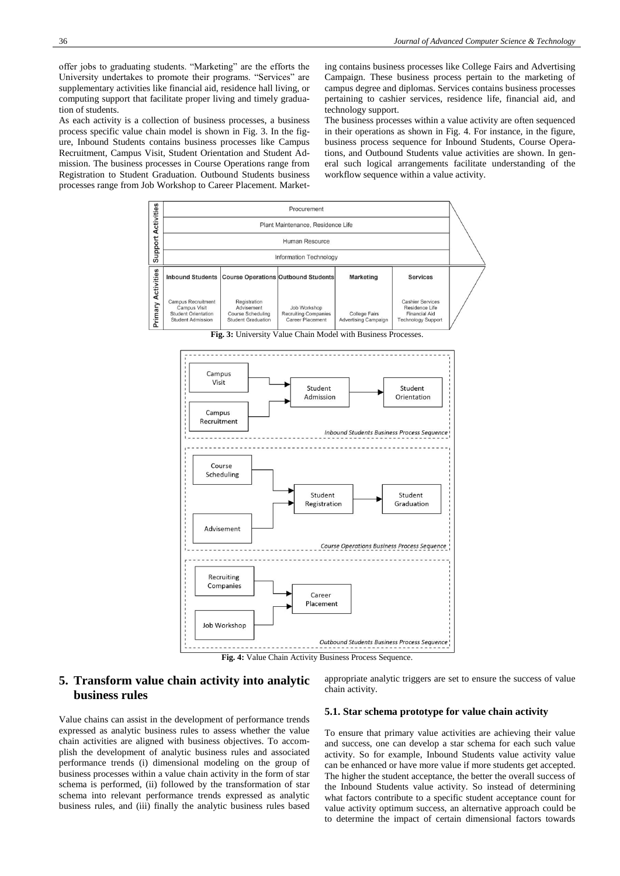offer jobs to graduating students. "Marketing" are the efforts the University undertakes to promote their programs. "Services" are supplementary activities like financial aid, residence hall living, or computing support that facilitate proper living and timely graduation of students.

As each activity is a collection of business processes, a business process specific value chain model is shown in Fig. 3. In the figure, Inbound Students contains business processes like Campus Recruitment, Campus Visit, Student Orientation and Student Admission. The business processes in Course Operations range from Registration to Student Graduation. Outbound Students business processes range from Job Workshop to Career Placement. Marketing contains business processes like College Fairs and Advertising Campaign. These business process pertain to the marketing of campus degree and diplomas. Services contains business processes pertaining to cashier services, residence life, financial aid, and technology support.

The business processes within a value activity are often sequenced in their operations as shown in Fig. 4. For instance, in the figure, business process sequence for Inbound Students, Course Operations, and Outbound Students value activities are shown. In general such logical arrangements facilitate understanding of the workflow sequence within a value activity.



**Fig. 4:** Value Chain Activity Business Process Sequence.

# **5. Transform value chain activity into analytic business rules**

Value chains can assist in the development of performance trends expressed as analytic business rules to assess whether the value chain activities are aligned with business objectives. To accomplish the development of analytic business rules and associated performance trends (i) dimensional modeling on the group of business processes within a value chain activity in the form of star schema is performed, (ii) followed by the transformation of star schema into relevant performance trends expressed as analytic business rules, and (iii) finally the analytic business rules based

#### appropriate analytic triggers are set to ensure the success of value chain activity.

#### **5.1. Star schema prototype for value chain activity**

To ensure that primary value activities are achieving their value and success, one can develop a star schema for each such value activity. So for example, Inbound Students value activity value can be enhanced or have more value if more students get accepted. The higher the student acceptance, the better the overall success of the Inbound Students value activity. So instead of determining what factors contribute to a specific student acceptance count for value activity optimum success, an alternative approach could be to determine the impact of certain dimensional factors towards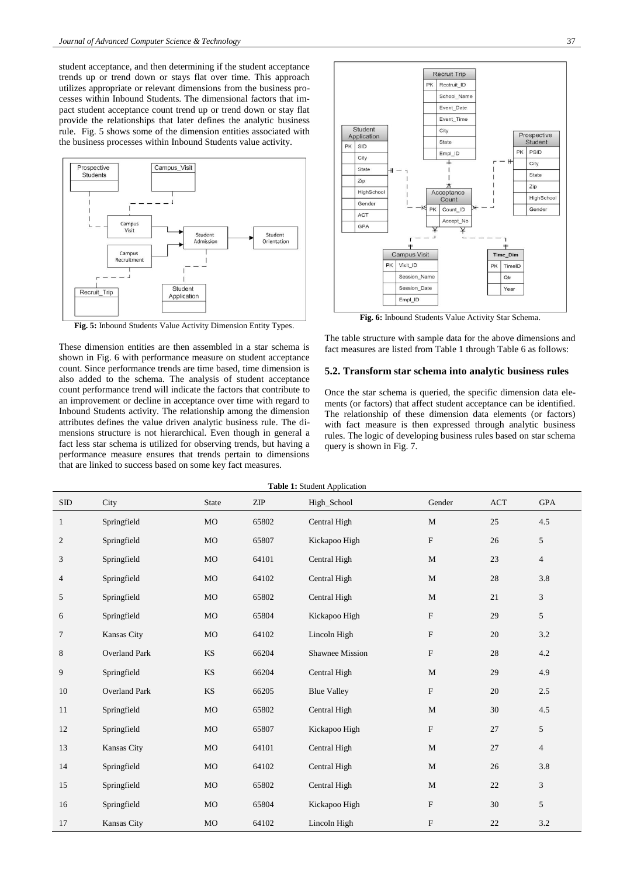student acceptance, and then determining if the student acceptance trends up or trend down or stays flat over time. This approach utilizes appropriate or relevant dimensions from the business processes within Inbound Students. The dimensional factors that impact student acceptance count trend up or trend down or stay flat provide the relationships that later defines the analytic business rule. Fig. 5 shows some of the dimension entities associated with the business processes within Inbound Students value activity.



**Fig. 5:** Inbound Students Value Activity Dimension Entity Types.

These dimension entities are then assembled in a star schema is shown in Fig. 6 with performance measure on student acceptance count. Since performance trends are time based, time dimension is also added to the schema. The analysis of student acceptance count performance trend will indicate the factors that contribute to an improvement or decline in acceptance over time with regard to Inbound Students activity. The relationship among the dimension attributes defines the value driven analytic business rule. The dimensions structure is not hierarchical. Even though in general a fact less star schema is utilized for observing trends, but having a performance measure ensures that trends pertain to dimensions that are linked to success based on some key fact measures.



**Fig. 6:** Inbound Students Value Activity Star Schema.

The table structure with sample data for the above dimensions and fact measures are listed from Table 1 through Table 6 as follows:

#### **5.2. Transform star schema into analytic business rules**

Once the star schema is queried, the specific dimension data elements (or factors) that affect student acceptance can be identified. The relationship of these dimension data elements (or factors) with fact measure is then expressed through analytic business rules. The logic of developing business rules based on star schema query is shown in Fig. 7.

| Table 1: Student Application |                      |           |       |                        |                           |            |                |  |  |
|------------------------------|----------------------|-----------|-------|------------------------|---------------------------|------------|----------------|--|--|
| SDD                          | City                 | State     | ZIP   | High_School            | Gender                    | <b>ACT</b> | <b>GPA</b>     |  |  |
| $\mathbf{1}$                 | Springfield          | MO        | 65802 | Central High           | M                         | 25         | 4.5            |  |  |
| $\mathfrak{2}$               | Springfield          | MO        | 65807 | Kickapoo High          | $\boldsymbol{\mathrm{F}}$ | 26         | 5              |  |  |
| 3                            | Springfield          | MO        | 64101 | Central High           | $\mathbf{M}$              | 23         | $\overline{4}$ |  |  |
| $\overline{4}$               | Springfield          | MO        | 64102 | Central High           | $\mathbf{M}$              | 28         | 3.8            |  |  |
| 5                            | Springfield          | MO        | 65802 | Central High           | $\mathbf{M}$              | 21         | $\overline{3}$ |  |  |
| 6                            | Springfield          | MO        | 65804 | Kickapoo High          | $\boldsymbol{\mathrm{F}}$ | 29         | 5              |  |  |
| $\tau$                       | Kansas City          | MO        | 64102 | Lincoln High           | F                         | 20         | 3.2            |  |  |
| 8                            | <b>Overland Park</b> | <b>KS</b> | 66204 | <b>Shawnee Mission</b> | F                         | 28         | 4.2            |  |  |
| 9                            | Springfield          | <b>KS</b> | 66204 | Central High           | $\mathbf M$               | 29         | 4.9            |  |  |
| 10                           | <b>Overland Park</b> | <b>KS</b> | 66205 | <b>Blue Valley</b>     | $\mathbf F$               | 20         | 2.5            |  |  |
| 11                           | Springfield          | MO        | 65802 | Central High           | M                         | 30         | 4.5            |  |  |
| 12                           | Springfield          | MO        | 65807 | Kickapoo High          | $\mathbf F$               | 27         | 5              |  |  |
| 13                           | Kansas City          | MO        | 64101 | Central High           | $\mathbf{M}$              | 27         | $\overline{4}$ |  |  |
| 14                           | Springfield          | MO        | 64102 | Central High           | $\mathbf M$               | 26         | 3.8            |  |  |
| 15                           | Springfield          | MO        | 65802 | Central High           | $\mathbf{M}$              | 22         | 3              |  |  |
| 16                           | Springfield          | MO        | 65804 | Kickapoo High          | $\boldsymbol{\mathrm{F}}$ | 30         | 5              |  |  |
| 17                           | Kansas City          | MO        | 64102 | Lincoln High           | ${\rm F}$                 | 22         | $3.2\,$        |  |  |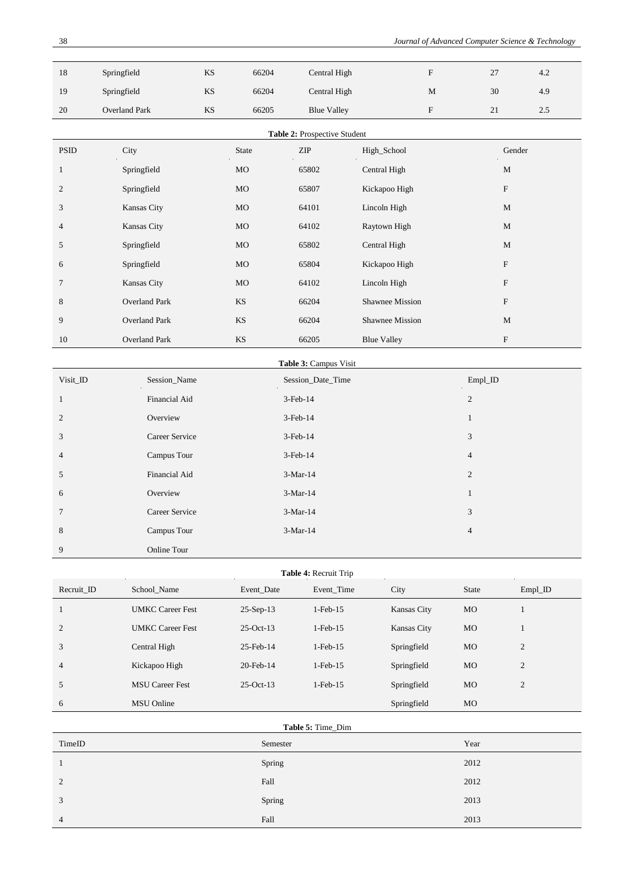| 18 | Springfield          | <b>KS</b> | 66204 | Central High       |   | 27 | 4.2 |
|----|----------------------|-----------|-------|--------------------|---|----|-----|
| 19 | Springfield          | KS        | 66204 | Central High       | M | 30 | 4.9 |
| 20 | <b>Overland Park</b> | KS        | 66205 | <b>Blue Valley</b> |   | 21 | 2.5 |

| Table 2: Prospective Student |                      |           |       |                    |                           |  |  |
|------------------------------|----------------------|-----------|-------|--------------------|---------------------------|--|--|
| <b>PSID</b>                  | City                 | State     | ZIP   | High_School        | Gender                    |  |  |
| $\mathbf{1}$                 | Springfield          | <b>MO</b> | 65802 | Central High       | M                         |  |  |
| 2                            | Springfield          | <b>MO</b> | 65807 | Kickapoo High      | ${\rm F}$                 |  |  |
| 3                            | Kansas City          | <b>MO</b> | 64101 | Lincoln High       | M                         |  |  |
| $\overline{4}$               | Kansas City          | <b>MO</b> | 64102 | Raytown High       | M                         |  |  |
| 5                            | Springfield          | <b>MO</b> | 65802 | Central High       | M                         |  |  |
| 6                            | Springfield          | <b>MO</b> | 65804 | Kickapoo High      | ${\rm F}$                 |  |  |
| $\overline{7}$               | Kansas City          | <b>MO</b> | 64102 | Lincoln High       | ${\rm F}$                 |  |  |
| 8                            | <b>Overland Park</b> | <b>KS</b> | 66204 | Shawnee Mission    | $\boldsymbol{\mathrm{F}}$ |  |  |
| 9                            | <b>Overland Park</b> | <b>KS</b> | 66204 | Shawnee Mission    | M                         |  |  |
| 10                           | <b>Overland Park</b> | <b>KS</b> | 66205 | <b>Blue Valley</b> | $\boldsymbol{\mathrm{F}}$ |  |  |

| <b>Table 3: Campus Visit</b> |  |
|------------------------------|--|
| Session Date Time            |  |

| Visit_ID        | Session_Name   | Session_Date_Time | $Empl$ <sub></sub> $ID$ |
|-----------------|----------------|-------------------|-------------------------|
| $\mathbf{1}$    | Financial Aid  | $3$ -Feb- $14$    | 2                       |
| 2               | Overview       | $3$ -Feb- $14$    | 1                       |
| 3               | Career Service | $3-Feb-14$        | 3                       |
| $\overline{4}$  | Campus Tour    | $3$ -Feb- $14$    | $\overline{4}$          |
| 5               | Financial Aid  | $3-Mar-14$        | 2                       |
| 6               | Overview       | $3-Mar-14$        | ı                       |
| $7\phantom{.0}$ | Career Service | $3-Mar-14$        | 3                       |
| 8               | Campus Tour    | $3-Mar-14$        | 4                       |
| 9               | Online Tour    |                   |                         |

| <b>Table 4: Recruit Trip</b> |                         |              |                |             |              |                         |  |
|------------------------------|-------------------------|--------------|----------------|-------------|--------------|-------------------------|--|
| Recruit ID                   | School Name             | Event Date   | Event Time     | City        | <b>State</b> | $Empl$ <sub></sub> $ID$ |  |
|                              | <b>UMKC Career Fest</b> | $25-Sep-13$  | $1$ -Feb- $15$ | Kansas City | MO.          |                         |  |
| 2                            | <b>UMKC</b> Career Fest | $25$ -Oct-13 | $1-Feb-15$     | Kansas City | MO.          |                         |  |
| 3                            | Central High            | 25-Feb-14    | $1-Feb-15$     | Springfield | <b>MO</b>    | $\overline{2}$          |  |
| $\overline{4}$               | Kickapoo High           | 20-Feb-14    | $1$ -Feb- $15$ | Springfield | <b>MO</b>    | $\overline{2}$          |  |
| 5                            | <b>MSU</b> Career Fest  | $25$ -Oct-13 | $1$ -Feb- $15$ | Springfield | <b>MO</b>    | $\overline{2}$          |  |
| 6                            | <b>MSU</b> Online       |              |                | Springfield | MO           |                         |  |

| TimeID         | Table 5: Time_Dim<br>Semester | Year |
|----------------|-------------------------------|------|
|                | Spring                        | 2012 |
| 2              | Fall                          | 2012 |
| 3              | Spring                        | 2013 |
| $\overline{4}$ | Fall                          | 2013 |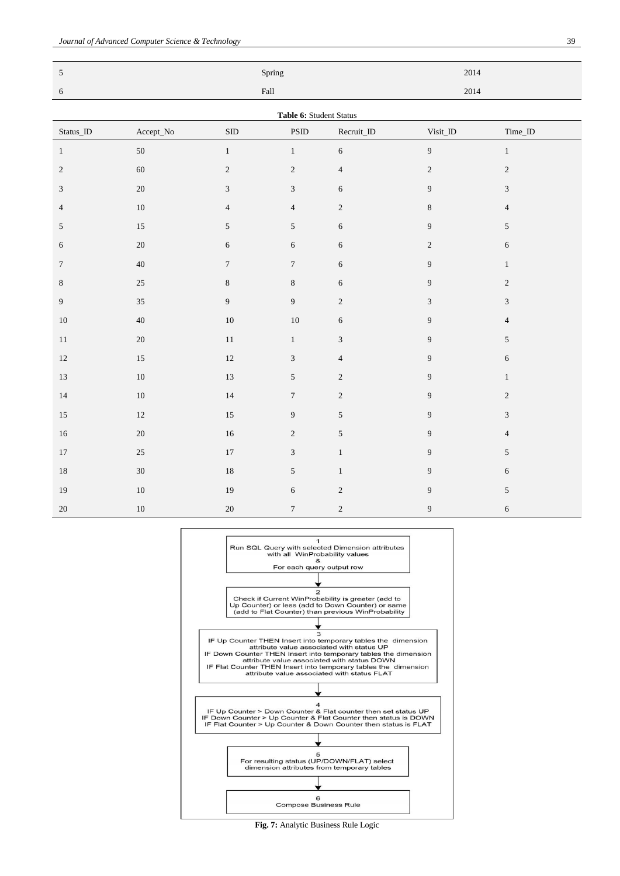| $\sqrt{5}$                 |               |                             | Spring           |                | 2014           |                             |  |  |
|----------------------------|---------------|-----------------------------|------------------|----------------|----------------|-----------------------------|--|--|
| $\sqrt{6}$                 | $_{\rm Fall}$ |                             |                  |                | 2014           |                             |  |  |
| Table 6: Student Status    |               |                             |                  |                |                |                             |  |  |
| $\text{Status}\_\text{ID}$ | Accept_No     | $\mbox{SID}$                | <b>PSID</b>      | Recruit_ID     | Visit_ID       | Time_ID                     |  |  |
| $\mathbf{1}$               | $50\,$        | $\mathbf{1}$                | $\mathbf{1}$     | $\sqrt{6}$     | 9              | $\,1$                       |  |  |
| $\sqrt{2}$                 | 60            | $\sqrt{2}$                  | $\sqrt{2}$       | $\sqrt{4}$     | $\sqrt{2}$     | $\sqrt{2}$                  |  |  |
| $\mathfrak{Z}$             | $20\,$        | $\ensuremath{\mathfrak{Z}}$ | $\mathfrak{Z}$   | $\sqrt{6}$     | 9              | $\ensuremath{\mathfrak{Z}}$ |  |  |
| $\overline{4}$             | $10\,$        | $\overline{4}$              | $\overline{4}$   | $\sqrt{2}$     | $\,8\,$        | $\overline{4}$              |  |  |
| $\sqrt{5}$                 | 15            | $\sqrt{5}$                  | $\sqrt{5}$       | $\sqrt{6}$     | 9              | $\mathfrak s$               |  |  |
| 6                          | $20\,$        | $\sqrt{6}$                  | $\sqrt{6}$       | $\sqrt{6}$     | $\sqrt{2}$     | $\sqrt{6}$                  |  |  |
| $\boldsymbol{7}$           | $40\,$        | $\tau$                      | $\boldsymbol{7}$ | $\sqrt{6}$     | 9              | $\,1$                       |  |  |
| $\,8$                      | $25\,$        | $\,8\,$                     | $\,8\,$          | $\sqrt{6}$     | 9              | $\sqrt{2}$                  |  |  |
| $\boldsymbol{9}$           | 35            | $\boldsymbol{9}$            | $\overline{9}$   | $\sqrt{2}$     | $\mathfrak{Z}$ | $\sqrt{3}$                  |  |  |
| $10\,$                     | $40\,$        | $10\,$                      | $10\,$           | 6              | 9              | $\overline{4}$              |  |  |
| $11\,$                     | $20\,$        | $11\,$                      | $\,1\,$          | $\sqrt{3}$     | 9              | $\sqrt{5}$                  |  |  |
| $12\,$                     | $15\,$        | 12                          | $\mathfrak 3$    | $\overline{4}$ | $\overline{9}$ | $\sqrt{6}$                  |  |  |
| 13                         | $10\,$        | 13                          | $\sqrt{5}$       | $\sqrt{2}$     | $\overline{9}$ | $\,1$                       |  |  |
| 14                         | $10\,$        | 14                          | $\boldsymbol{7}$ | $\sqrt{2}$     | $\overline{9}$ | $\sqrt{2}$                  |  |  |
| $15\,$                     | $12\,$        | $15\,$                      | $\boldsymbol{9}$ | $\sqrt{5}$     | 9              | $\sqrt{3}$                  |  |  |
| $16\,$                     | $20\,$        | $16\,$                      | $\sqrt{2}$       | $\sqrt{5}$     | 9              | $\overline{4}$              |  |  |
| $17\,$                     | $25\,$        | $17\,$                      | $\mathfrak{Z}$   | $\,1\,$        | $\overline{9}$ | $\mathfrak s$               |  |  |
| $18\,$                     | $30\,$        | $18\,$                      | $\sqrt{5}$       | $\,1\,$        | 9              | $\sqrt{6}$                  |  |  |
| 19                         | $10\,$        | 19                          | $\sqrt{6}$       | $\sqrt{2}$     | $\overline{9}$ | $\mathfrak s$               |  |  |
| 20                         | $10\,$        | $20\,$                      | $\boldsymbol{7}$ | $\sqrt{2}$     | $\overline{9}$ | $\sqrt{6}$                  |  |  |



**Fig. 7:** Analytic Business Rule Logic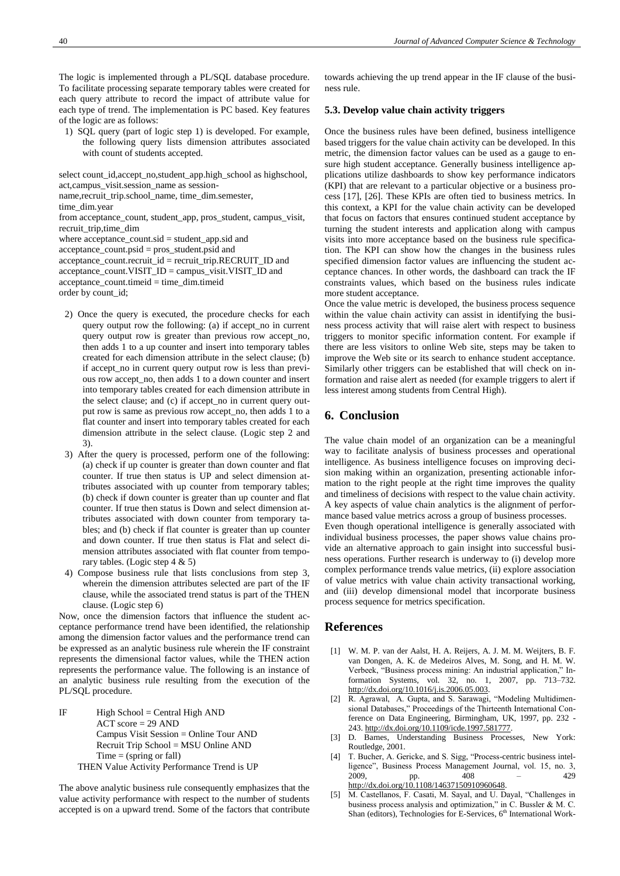The logic is implemented through a PL/SQL database procedure. To facilitate processing separate temporary tables were created for each query attribute to record the impact of attribute value for each type of trend. The implementation is PC based. Key features of the logic are as follows:

1) SQL query (part of logic step 1) is developed. For example, the following query lists dimension attributes associated with count of students accepted.

```
select count_id,accept_no,student_app.high_school as highschool, 
act,campus_visit.session_name as session-
name,recruit_trip.school_name, time_dim.semester, 
time_dim.year
from acceptance_count, student_app, pros_student, campus_visit, 
recruit_trip,time_dim
where acceptance_count.sid = student_app.sid and
acceptance_count.psid = pros_student.psid and
acceptance_count.recruit_id = recruit_trip.RECRUIT_ID and
acceptance_count.VISITID = campus_visit.VISITID and
acceptance_count.timeid = time_dim.timeid
order by count_id;
```
- 2) Once the query is executed, the procedure checks for each query output row the following: (a) if accept\_no in current query output row is greater than previous row accept\_no, then adds 1 to a up counter and insert into temporary tables created for each dimension attribute in the select clause; (b) if accept\_no in current query output row is less than previous row accept\_no, then adds 1 to a down counter and insert into temporary tables created for each dimension attribute in the select clause; and (c) if accept\_no in current query output row is same as previous row accept\_no, then adds 1 to a flat counter and insert into temporary tables created for each dimension attribute in the select clause. (Logic step 2 and 3).
- 3) After the query is processed, perform one of the following: (a) check if up counter is greater than down counter and flat counter. If true then status is UP and select dimension attributes associated with up counter from temporary tables; (b) check if down counter is greater than up counter and flat counter. If true then status is Down and select dimension attributes associated with down counter from temporary tables; and (b) check if flat counter is greater than up counter and down counter. If true then status is Flat and select dimension attributes associated with flat counter from temporary tables. (Logic step 4 & 5)
- 4) Compose business rule that lists conclusions from step 3, wherein the dimension attributes selected are part of the IF clause, while the associated trend status is part of the THEN clause. (Logic step 6)

Now, once the dimension factors that influence the student acceptance performance trend have been identified, the relationship among the dimension factor values and the performance trend can be expressed as an analytic business rule wherein the IF constraint represents the dimensional factor values, while the THEN action represents the performance value. The following is an instance of an analytic business rule resulting from the execution of the PL/SQL procedure.

```
IF High School = Central High AND
         ACT score = 29 AND
         Campus Visit Session = Online Tour AND
         Recruit Trip School = MSU Online AND
         Time = (spring \text{ or fall})THEN Value Activity Performance Trend is UP
```
The above analytic business rule consequently emphasizes that the value activity performance with respect to the number of students accepted is on a upward trend. Some of the factors that contribute towards achieving the up trend appear in the IF clause of the business rule.

#### **5.3. Develop value chain activity triggers**

Once the business rules have been defined, business intelligence based triggers for the value chain activity can be developed. In this metric, the dimension factor values can be used as a gauge to ensure high student acceptance. Generally business intelligence applications utilize dashboards to show key performance indicators (KPI) that are relevant to a particular objective or a business process [17], [26]. These KPIs are often tied to business metrics. In this context, a KPI for the value chain activity can be developed that focus on factors that ensures continued student acceptance by turning the student interests and application along with campus visits into more acceptance based on the business rule specification. The KPI can show how the changes in the business rules specified dimension factor values are influencing the student acceptance chances. In other words, the dashboard can track the IF constraints values, which based on the business rules indicate more student acceptance.

Once the value metric is developed, the business process sequence within the value chain activity can assist in identifying the business process activity that will raise alert with respect to business triggers to monitor specific information content. For example if there are less visitors to online Web site, steps may be taken to improve the Web site or its search to enhance student acceptance. Similarly other triggers can be established that will check on information and raise alert as needed (for example triggers to alert if less interest among students from Central High).

## **6. Conclusion**

The value chain model of an organization can be a meaningful way to facilitate analysis of business processes and operational intelligence. As business intelligence focuses on improving decision making within an organization, presenting actionable information to the right people at the right time improves the quality and timeliness of decisions with respect to the value chain activity. A key aspects of value chain analytics is the alignment of performance based value metrics across a group of business processes. Even though operational intelligence is generally associated with

individual business processes, the paper shows value chains provide an alternative approach to gain insight into successful business operations. Further research is underway to (i) develop more complex performance trends value metrics, (ii) explore association of value metrics with value chain activity transactional working, and (iii) develop dimensional model that incorporate business process sequence for metrics specification.

#### **References**

- [1] W. M. P. van der Aalst, H. A. Reijers, A. J. M. M. Weijters, B. F. van Dongen, A. K. de Medeiros Alves, M. Song, and H. M. W. Verbeek, "Business process mining: An industrial application," Information Systems, vol. 32, no. 1, 2007, pp. 713–732. [http://dx.doi.org/10.1016/j.is.2006.05.003.](http://dx.doi.org/10.1016/j.is.2006.05.003)
- [2] R. Agrawal, A. Gupta, and S. Sarawagi, "Modeling Multidimensional Databases," Proceedings of the Thirteenth International Conference on Data Engineering, Birmingham, UK, 1997, pp. 232 - 243. [http://dx.doi.org/10.1109/icde.1997.581777.](http://dx.doi.org/10.1109/icde.1997.581777)
- [3] D. Barnes, Understanding Business Processes, New York: Routledge, 2001.
- [4] T. Bucher, A. Gericke, and S. Sigg, "Process-centric business intelligence", Business Process Management Journal, vol. 15, no. 3, 2009, pp. 408 – 429 [http://dx.doi.org/10.1108/14637150910960648.](http://dx.doi.org/10.1108/14637150910960648)
- [5] M. Castellanos, F. Casati, M. Sayal, and U. Dayal, "Challenges in business process analysis and optimization," in C. Bussler & M. C. Shan (editors), Technologies for E-Services,  $6<sup>th</sup>$  International Work-